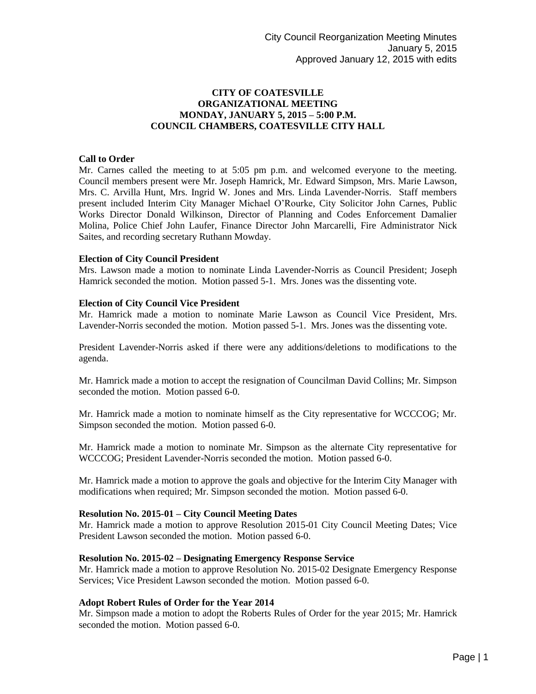# **CITY OF COATESVILLE ORGANIZATIONAL MEETING MONDAY, JANUARY 5, 2015 – 5:00 P.M. COUNCIL CHAMBERS, COATESVILLE CITY HALL**

### **Call to Order**

Mr. Carnes called the meeting to at 5:05 pm p.m. and welcomed everyone to the meeting. Council members present were Mr. Joseph Hamrick, Mr. Edward Simpson, Mrs. Marie Lawson, Mrs. C. Arvilla Hunt, Mrs. Ingrid W. Jones and Mrs. Linda Lavender-Norris. Staff members present included Interim City Manager Michael O'Rourke, City Solicitor John Carnes, Public Works Director Donald Wilkinson, Director of Planning and Codes Enforcement Damalier Molina, Police Chief John Laufer, Finance Director John Marcarelli, Fire Administrator Nick Saites, and recording secretary Ruthann Mowday.

### **Election of City Council President**

Mrs. Lawson made a motion to nominate Linda Lavender-Norris as Council President; Joseph Hamrick seconded the motion. Motion passed 5-1. Mrs. Jones was the dissenting vote.

### **Election of City Council Vice President**

Mr. Hamrick made a motion to nominate Marie Lawson as Council Vice President, Mrs. Lavender-Norris seconded the motion. Motion passed 5-1. Mrs. Jones was the dissenting vote.

President Lavender-Norris asked if there were any additions/deletions to modifications to the agenda.

Mr. Hamrick made a motion to accept the resignation of Councilman David Collins; Mr. Simpson seconded the motion. Motion passed 6-0.

Mr. Hamrick made a motion to nominate himself as the City representative for WCCCOG; Mr. Simpson seconded the motion. Motion passed 6-0.

Mr. Hamrick made a motion to nominate Mr. Simpson as the alternate City representative for WCCCOG; President Lavender-Norris seconded the motion. Motion passed 6-0.

Mr. Hamrick made a motion to approve the goals and objective for the Interim City Manager with modifications when required; Mr. Simpson seconded the motion. Motion passed 6-0.

#### **Resolution No. 2015-01 – City Council Meeting Dates**

Mr. Hamrick made a motion to approve Resolution 2015-01 City Council Meeting Dates; Vice President Lawson seconded the motion. Motion passed 6-0.

#### **Resolution No. 2015-02 – Designating Emergency Response Service**

Mr. Hamrick made a motion to approve Resolution No. 2015-02 Designate Emergency Response Services; Vice President Lawson seconded the motion. Motion passed 6-0.

### **Adopt Robert Rules of Order for the Year 2014**

Mr. Simpson made a motion to adopt the Roberts Rules of Order for the year 2015; Mr. Hamrick seconded the motion. Motion passed 6-0.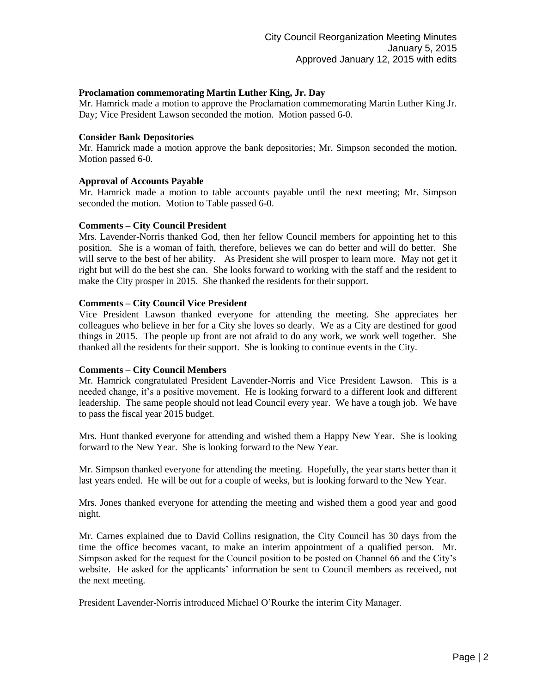## **Proclamation commemorating Martin Luther King, Jr. Day**

Mr. Hamrick made a motion to approve the Proclamation commemorating Martin Luther King Jr. Day; Vice President Lawson seconded the motion. Motion passed 6-0.

## **Consider Bank Depositories**

Mr. Hamrick made a motion approve the bank depositories; Mr. Simpson seconded the motion. Motion passed 6-0.

### **Approval of Accounts Payable**

Mr. Hamrick made a motion to table accounts payable until the next meeting; Mr. Simpson seconded the motion. Motion to Table passed 6-0.

### **Comments – City Council President**

Mrs. Lavender-Norris thanked God, then her fellow Council members for appointing het to this position. She is a woman of faith, therefore, believes we can do better and will do better. She will serve to the best of her ability. As President she will prosper to learn more. May not get it right but will do the best she can. She looks forward to working with the staff and the resident to make the City prosper in 2015. She thanked the residents for their support.

### **Comments – City Council Vice President**

Vice President Lawson thanked everyone for attending the meeting. She appreciates her colleagues who believe in her for a City she loves so dearly. We as a City are destined for good things in 2015. The people up front are not afraid to do any work, we work well together. She thanked all the residents for their support. She is looking to continue events in the City.

#### **Comments – City Council Members**

Mr. Hamrick congratulated President Lavender-Norris and Vice President Lawson. This is a needed change, it's a positive movement. He is looking forward to a different look and different leadership. The same people should not lead Council every year. We have a tough job. We have to pass the fiscal year 2015 budget.

Mrs. Hunt thanked everyone for attending and wished them a Happy New Year. She is looking forward to the New Year. She is looking forward to the New Year.

Mr. Simpson thanked everyone for attending the meeting. Hopefully, the year starts better than it last years ended. He will be out for a couple of weeks, but is looking forward to the New Year.

Mrs. Jones thanked everyone for attending the meeting and wished them a good year and good night.

Mr. Carnes explained due to David Collins resignation, the City Council has 30 days from the time the office becomes vacant, to make an interim appointment of a qualified person. Mr. Simpson asked for the request for the Council position to be posted on Channel 66 and the City's website. He asked for the applicants' information be sent to Council members as received, not the next meeting.

President Lavender-Norris introduced Michael O'Rourke the interim City Manager.